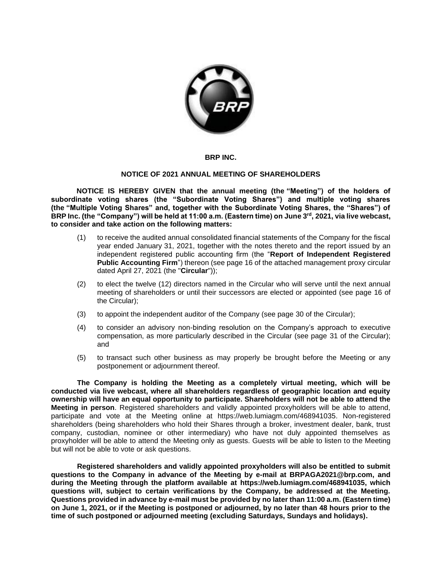

## **BRP INC.**

## **NOTICE OF 2021 ANNUAL MEETING OF SHAREHOLDERS**

**NOTICE IS HEREBY GIVEN that the annual meeting (the "Meeting") of the holders of subordinate voting shares (the "Subordinate Voting Shares") and multiple voting shares (the "Multiple Voting Shares" and, together with the Subordinate Voting Shares, the "Shares") of BRP Inc. (the "Company") will be held at 11:00 a.m. (Eastern time) on June 3rd, 2021, via live webcast, to consider and take action on the following matters:** 

- (1) to receive the audited annual consolidated financial statements of the Company for the fiscal year ended January 31, 2021, together with the notes thereto and the report issued by an independent registered public accounting firm (the "**Report of Independent Registered Public Accounting Firm**") thereon (see page 16 of the attached management proxy circular dated April 27, 2021 (the "**Circular**"));
- (2) to elect the twelve (12) directors named in the Circular who will serve until the next annual meeting of shareholders or until their successors are elected or appointed (see page 16 of the Circular);
- (3) to appoint the independent auditor of the Company (see page 30 of the Circular);
- (4) to consider an advisory non-binding resolution on the Company's approach to executive compensation, as more particularly described in the Circular (see page 31 of the Circular); and
- (5) to transact such other business as may properly be brought before the Meeting or any postponement or adjournment thereof.

**The Company is holding the Meeting as a completely virtual meeting, which will be conducted via live webcast, where all shareholders regardless of geographic location and equity ownership will have an equal opportunity to participate. Shareholders will not be able to attend the Meeting in person**. Registered shareholders and validly appointed proxyholders will be able to attend, participate and vote at the Meeting online at https://web.lumiagm.com/468941035. Non-registered shareholders (being shareholders who hold their Shares through a broker, investment dealer, bank, trust company, custodian, nominee or other intermediary) who have not duly appointed themselves as proxyholder will be able to attend the Meeting only as guests. Guests will be able to listen to the Meeting but will not be able to vote or ask questions.

**Registered shareholders and validly appointed proxyholders will also be entitled to submit questions to the Company in advance of the Meeting by e-mail at BRPAGA2021@brp.com, and during the Meeting through the platform available at https://web.lumiagm.com/468941035, which questions will, subject to certain verifications by the Company, be addressed at the Meeting. Questions provided in advance by e-mail must be provided by no later than 11:00 a.m. (Eastern time) on June 1, 2021, or if the Meeting is postponed or adjourned, by no later than 48 hours prior to the time of such postponed or adjourned meeting (excluding Saturdays, Sundays and holidays).**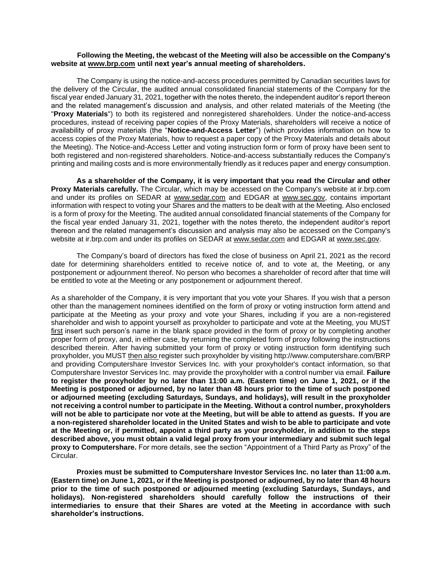## **Following the Meeting, the webcast of the Meeting will also be accessible on the Company's website at [www.brp.com](http://www.brp.com/) until next year's annual meeting of shareholders.**

The Company is using the notice-and-access procedures permitted by Canadian securities laws for the delivery of the Circular, the audited annual consolidated financial statements of the Company for the fiscal year ended January 31, 2021, together with the notes thereto, the independent auditor's report thereon and the related management's discussion and analysis, and other related materials of the Meeting (the "**Proxy Materials**") to both its registered and nonregistered shareholders. Under the notice-and-access procedures, instead of receiving paper copies of the Proxy Materials, shareholders will receive a notice of availability of proxy materials (the "**Notice-and-Access Letter**") (which provides information on how to access copies of the Proxy Materials, how to request a paper copy of the Proxy Materials and details about the Meeting). The Notice-and-Access Letter and voting instruction form or form of proxy have been sent to both registered and non-registered shareholders. Notice-and-access substantially reduces the Company's printing and mailing costs and is more environmentally friendly as it reduces paper and energy consumption.

**As a shareholder of the Company, it is very important that you read the Circular and other Proxy Materials carefully.** The Circular, which may be accessed on the Company's website at ir.brp.com and under its profiles on SEDAR at www.sedar.com and EDGAR at www.sec.gov, contains important information with respect to voting your Shares and the matters to be dealt with at the Meeting. Also enclosed is a form of proxy for the Meeting. The audited annual consolidated financial statements of the Company for the fiscal year ended January 31, 2021, together with the notes thereto, the independent auditor's report thereon and the related management's discussion and analysis may also be accessed on the Company's website at ir.brp.com and under its profiles on SEDAR at www.sedar.com and EDGAR at www.sec.gov.

The Company's board of directors has fixed the close of business on April 21, 2021 as the record date for determining shareholders entitled to receive notice of, and to vote at, the Meeting, or any postponement or adjournment thereof. No person who becomes a shareholder of record after that time will be entitled to vote at the Meeting or any postponement or adjournment thereof.

As a shareholder of the Company, it is very important that you vote your Shares. If you wish that a person other than the management nominees identified on the form of proxy or voting instruction form attend and participate at the Meeting as your proxy and vote your Shares, including if you are a non-registered shareholder and wish to appoint yourself as proxyholder to participate and vote at the Meeting, you MUST first insert such person's name in the blank space provided in the form of proxy or by completing another proper form of proxy, and, in either case, by returning the completed form of proxy following the instructions described therein. After having submitted your form of proxy or voting instruction form identifying such proxyholder, you MUST then also register such proxyholder by visiting http://www.computershare.com/BRP and providing Computershare Investor Services Inc. with your proxyholder's contact information, so that Computershare Investor Services Inc. may provide the proxyholder with a control number via email. **Failure to register the proxyholder by no later than 11:00 a.m. (Eastern time) on June 1, 2021, or if the Meeting is postponed or adjourned, by no later than 48 hours prior to the time of such postponed or adjourned meeting (excluding Saturdays, Sundays, and holidays), will result in the proxyholder not receiving a control number to participate in the Meeting. Without a control number, proxyholders will not be able to participate nor vote at the Meeting, but will be able to attend as guests. If you are a non-registered shareholder located in the United States and wish to be able to participate and vote at the Meeting or, if permitted, appoint a third party as your proxyholder, in addition to the steps described above, you must obtain a valid legal proxy from your intermediary and submit such legal proxy to Computershare.** For more details, see the section "Appointment of a Third Party as Proxy" of the Circular.

**Proxies must be submitted to Computershare Investor Services Inc. no later than 11:00 a.m. (Eastern time) on June 1, 2021, or if the Meeting is postponed or adjourned, by no later than 48 hours prior to the time of such postponed or adjourned meeting (excluding Saturdays, Sundays, and holidays). Non-registered shareholders should carefully follow the instructions of their intermediaries to ensure that their Shares are voted at the Meeting in accordance with such shareholder's instructions.**